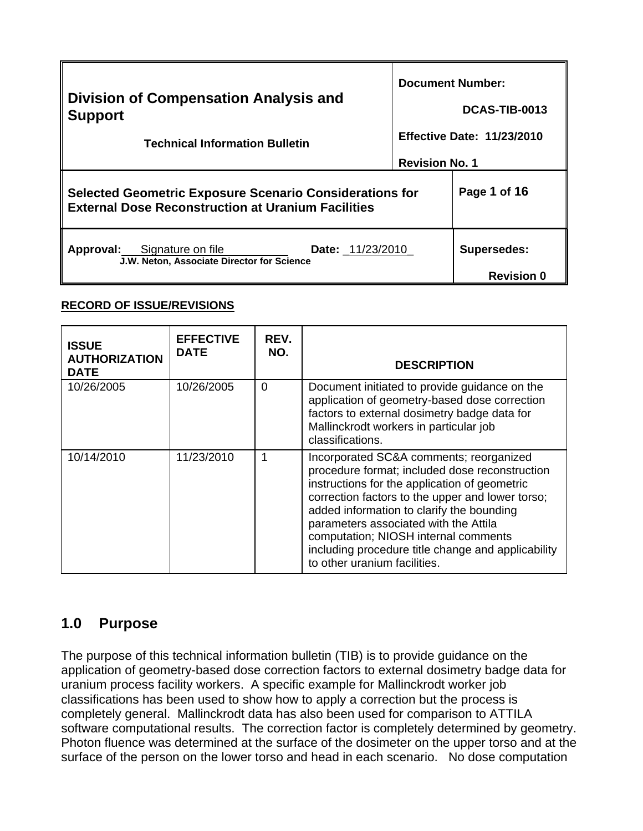| <b>Division of Compensation Analysis and</b><br><b>Support</b><br><b>Technical Information Bulletin</b>                     | <b>Document Number:</b> |                                   |
|-----------------------------------------------------------------------------------------------------------------------------|-------------------------|-----------------------------------|
|                                                                                                                             |                         | DCAS-TIB-0013                     |
|                                                                                                                             |                         | <b>Effective Date: 11/23/2010</b> |
|                                                                                                                             | <b>Revision No. 1</b>   |                                   |
| <b>Selected Geometric Exposure Scenario Considerations for</b><br><b>External Dose Reconstruction at Uranium Facilities</b> | Page 1 of 16            |                                   |
| <b>Approval:</b> Signature on file<br><b>Date:</b> 11/23/2010<br>J.W. Neton, Associate Director for Science                 |                         | <b>Supersedes:</b>                |
|                                                                                                                             |                         | <b>Revision 0</b>                 |

#### **RECORD OF ISSUE/REVISIONS**

| <b>ISSUE</b><br><b>AUTHORIZATION</b><br><b>DATE</b> | <b>EFFECTIVE</b><br><b>DATE</b> | REV.<br>NO. | <b>DESCRIPTION</b>                                                                                                                                                                                                                                                                                                                                                                                                 |
|-----------------------------------------------------|---------------------------------|-------------|--------------------------------------------------------------------------------------------------------------------------------------------------------------------------------------------------------------------------------------------------------------------------------------------------------------------------------------------------------------------------------------------------------------------|
| 10/26/2005                                          | 10/26/2005                      | $\Omega$    | Document initiated to provide guidance on the<br>application of geometry-based dose correction<br>factors to external dosimetry badge data for<br>Mallinckrodt workers in particular job<br>classifications.                                                                                                                                                                                                       |
| 10/14/2010                                          | 11/23/2010                      |             | Incorporated SC&A comments; reorganized<br>procedure format; included dose reconstruction<br>instructions for the application of geometric<br>correction factors to the upper and lower torso;<br>added information to clarify the bounding<br>parameters associated with the Attila<br>computation; NIOSH internal comments<br>including procedure title change and applicability<br>to other uranium facilities. |

# **1.0 Purpose**

The purpose of this technical information bulletin (TIB) is to provide guidance on the application of geometry-based dose correction factors to external dosimetry badge data for uranium process facility workers. A specific example for Mallinckrodt worker job classifications has been used to show how to apply a correction but the process is completely general. Mallinckrodt data has also been used for comparison to ATTILA software computational results. The correction factor is completely determined by geometry. Photon fluence was determined at the surface of the dosimeter on the upper torso and at the surface of the person on the lower torso and head in each scenario. No dose computation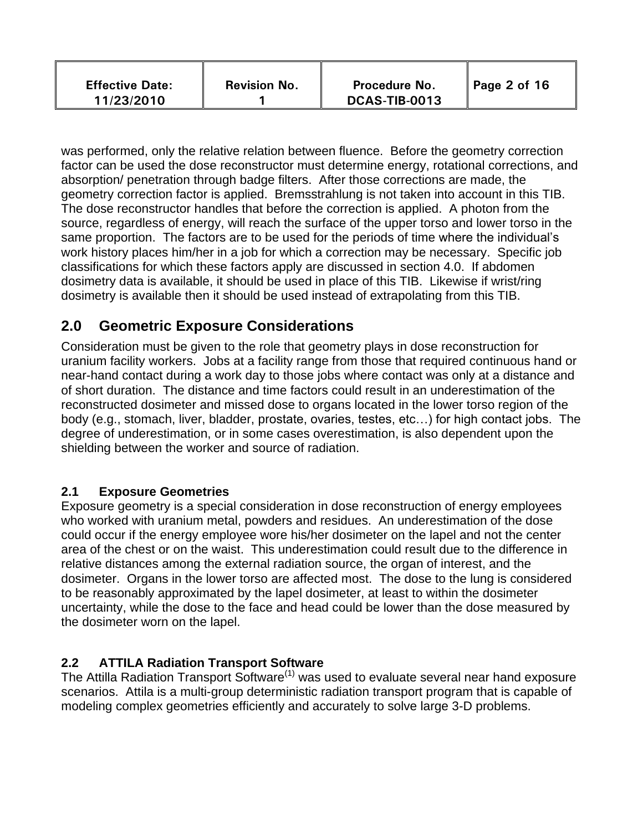| <b>Effective Date:</b><br>11/23/2010 | <b>Revision No.</b> | <b>Procedure No.</b><br>DCAS-TIB-0013 | $\vert$ Page 2 of 16 |  |
|--------------------------------------|---------------------|---------------------------------------|----------------------|--|
|--------------------------------------|---------------------|---------------------------------------|----------------------|--|

was performed, only the relative relation between fluence. Before the geometry correction factor can be used the dose reconstructor must determine energy, rotational corrections, and absorption/ penetration through badge filters. After those corrections are made, the geometry correction factor is applied. Bremsstrahlung is not taken into account in this TIB. The dose reconstructor handles that before the correction is applied. A photon from the source, regardless of energy, will reach the surface of the upper torso and lower torso in the same proportion. The factors are to be used for the periods of time where the individual's work history places him/her in a job for which a correction may be necessary. Specific job classifications for which these factors apply are discussed in section 4.0. If abdomen dosimetry data is available, it should be used in place of this TIB. Likewise if wrist/ring dosimetry is available then it should be used instead of extrapolating from this TIB.

## **2.0 Geometric Exposure Considerations**

Consideration must be given to the role that geometry plays in dose reconstruction for uranium facility workers. Jobs at a facility range from those that required continuous hand or near-hand contact during a work day to those jobs where contact was only at a distance and of short duration. The distance and time factors could result in an underestimation of the reconstructed dosimeter and missed dose to organs located in the lower torso region of the body (e.g., stomach, liver, bladder, prostate, ovaries, testes, etc…) for high contact jobs. The degree of underestimation, or in some cases overestimation, is also dependent upon the shielding between the worker and source of radiation.

## **2.1 Exposure Geometries**

Exposure geometry is a special consideration in dose reconstruction of energy employees who worked with uranium metal, powders and residues. An underestimation of the dose could occur if the energy employee wore his/her dosimeter on the lapel and not the center area of the chest or on the waist. This underestimation could result due to the difference in relative distances among the external radiation source, the organ of interest, and the dosimeter. Organs in the lower torso are affected most. The dose to the lung is considered to be reasonably approximated by the lapel dosimeter, at least to within the dosimeter uncertainty, while the dose to the face and head could be lower than the dose measured by the dosimeter worn on the lapel.

## **2.2 ATTILA Radiation Transport Software**

The Attilla Radiation Transport Software<sup>(1)</sup> was used to evaluate several near hand exposure scenarios. Attila is a multi-group deterministic radiation transport program that is capable of modeling complex geometries efficiently and accurately to solve large 3-D problems.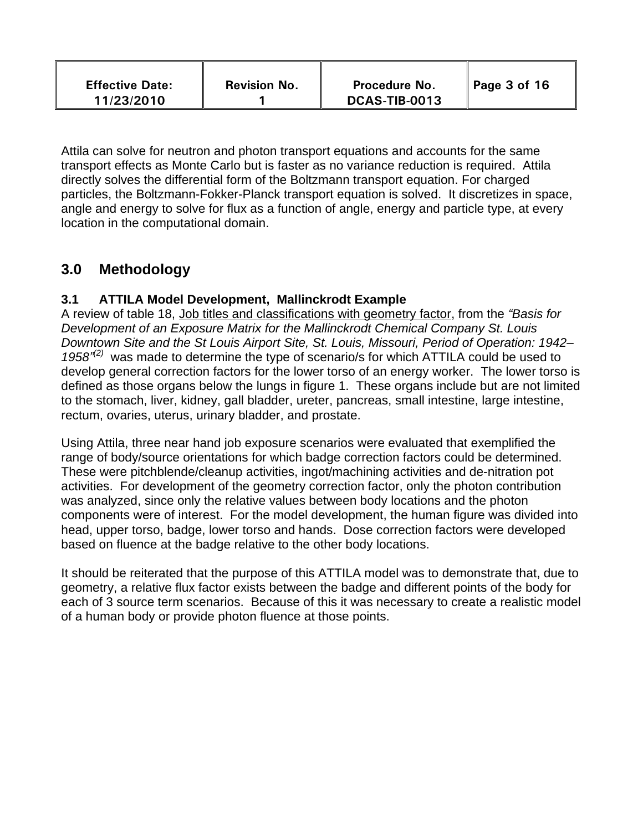| <b>Effective Date:</b><br>11/23/2010 | <b>Revision No.</b> | <b>Procedure No.</b><br>DCAS-TIB-0013 | Page 3 of 16 |  |
|--------------------------------------|---------------------|---------------------------------------|--------------|--|
|--------------------------------------|---------------------|---------------------------------------|--------------|--|

Attila can solve for neutron and photon transport equations and accounts for the same transport effects as Monte Carlo but is faster as no variance reduction is required. Attila directly solves the differential form of the Boltzmann transport equation. For charged particles, the Boltzmann-Fokker-Planck transport equation is solved. It discretizes in space, angle and energy to solve for flux as a function of angle, energy and particle type, at every location in the computational domain.

# **3.0 Methodology**

#### **3.1 ATTILA Model Development, Mallinckrodt Example**

A review of table 18, Job titles and classifications with geometry factor, from the *"Basis for Development of an Exposure Matrix for the Mallinckrodt Chemical Company St. Louis Downtown Site and the St Louis Airport Site, St. Louis, Missouri, Period of Operation: 1942–* 1958<sup>"(2)</sup> was made to determine the type of scenario/s for which ATTILA could be used to develop general correction factors for the lower torso of an energy worker. The lower torso is defined as those organs below the lungs in figure 1. These organs include but are not limited to the stomach, liver, kidney, gall bladder, ureter, pancreas, small intestine, large intestine, rectum, ovaries, uterus, urinary bladder, and prostate.

Using Attila, three near hand job exposure scenarios were evaluated that exemplified the range of body/source orientations for which badge correction factors could be determined. These were pitchblende/cleanup activities, ingot/machining activities and de-nitration pot activities. For development of the geometry correction factor, only the photon contribution was analyzed, since only the relative values between body locations and the photon components were of interest. For the model development, the human figure was divided into head, upper torso, badge, lower torso and hands. Dose correction factors were developed based on fluence at the badge relative to the other body locations.

It should be reiterated that the purpose of this ATTILA model was to demonstrate that, due to geometry, a relative flux factor exists between the badge and different points of the body for each of 3 source term scenarios. Because of this it was necessary to create a realistic model of a human body or provide photon fluence at those points.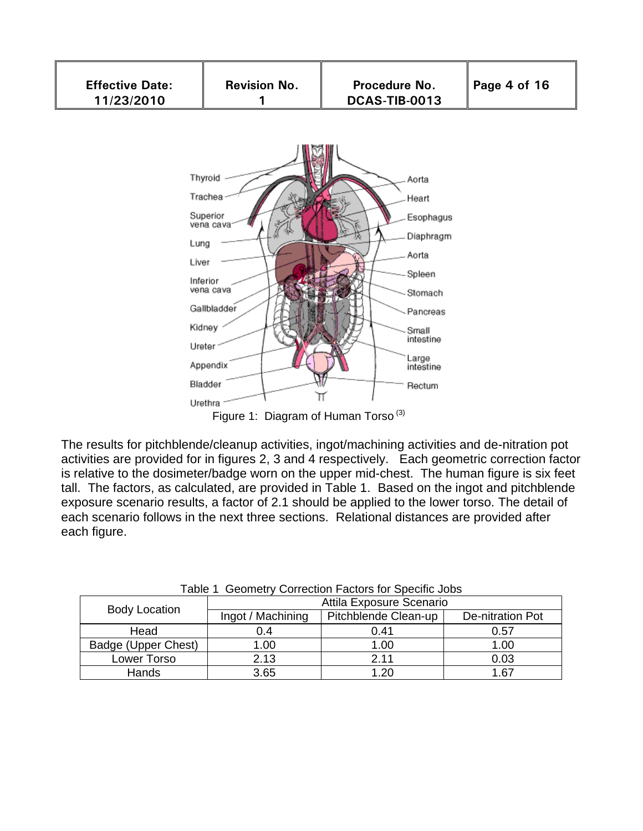

Figure 1: Diagram of Human Torso<sup>(3)</sup>

The results for pitchblende/cleanup activities, ingot/machining activities and de-nitration pot activities are provided for in figures 2, 3 and 4 respectively. Each geometric correction factor is relative to the dosimeter/badge worn on the upper mid-chest. The human figure is six feet tall. The factors, as calculated, are provided in Table 1. Based on the ingot and pitchblende exposure scenario results, a factor of 2.1 should be applied to the lower torso. The detail of each scenario follows in the next three sections. Relational distances are provided after each figure.

| radio + Ooomotry Oonouon + adtoro ior Opoemo oobo |                   |                          |                  |
|---------------------------------------------------|-------------------|--------------------------|------------------|
|                                                   |                   | Attila Exposure Scenario |                  |
| <b>Body Location</b>                              | Ingot / Machining | Pitchblende Clean-up     | De-nitration Pot |
| Head                                              | 0.4               | 0.41                     | 0.57             |
| Badge (Upper Chest)                               | 1.00              | 1.00                     | 1.00             |
| Lower Torso                                       | 2.13              | 2.11                     | 0.03             |
| Hands                                             | 3.65              | 1.20                     | 1.67             |

Table 1 Geometry Correction Factors for Specific Jobs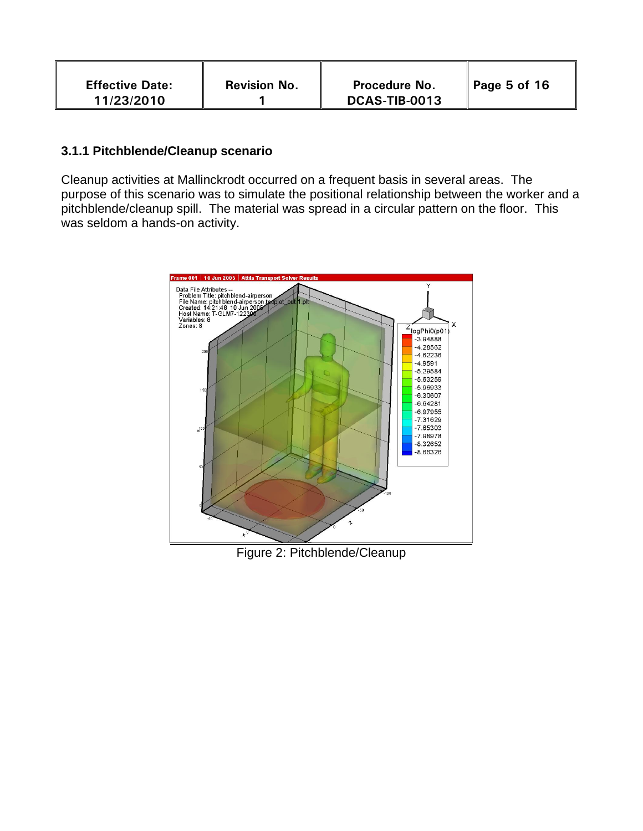| <b>Effective Date:</b><br>11/23/2010 | <b>Revision No.</b> | <b>Procedure No.</b><br>DCAS-TIB-0013 | Page 5 of 16 |
|--------------------------------------|---------------------|---------------------------------------|--------------|
|--------------------------------------|---------------------|---------------------------------------|--------------|

#### **3.1.1 Pitchblende/Cleanup scenario**

Cleanup activities at Mallinckrodt occurred on a frequent basis in several areas. The purpose of this scenario was to simulate the positional relationship between the worker and a pitchblende/cleanup spill. The material was spread in a circular pattern on the floor. This was seldom a hands-on activity.



Figure 2: Pitchblende/Cleanup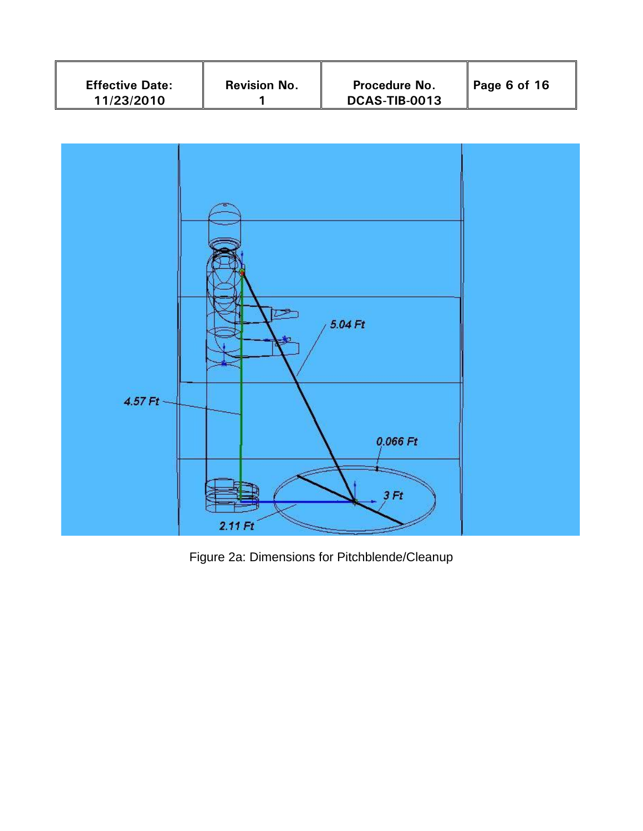| <b>Revision No.</b><br><b>Effective Date:</b><br>11/23/2010 | <b>Procedure No.</b><br>DCAS-TIB-0013 | Page 6 of 16 |
|-------------------------------------------------------------|---------------------------------------|--------------|
|-------------------------------------------------------------|---------------------------------------|--------------|



Figure 2a: Dimensions for Pitchblende/Cleanup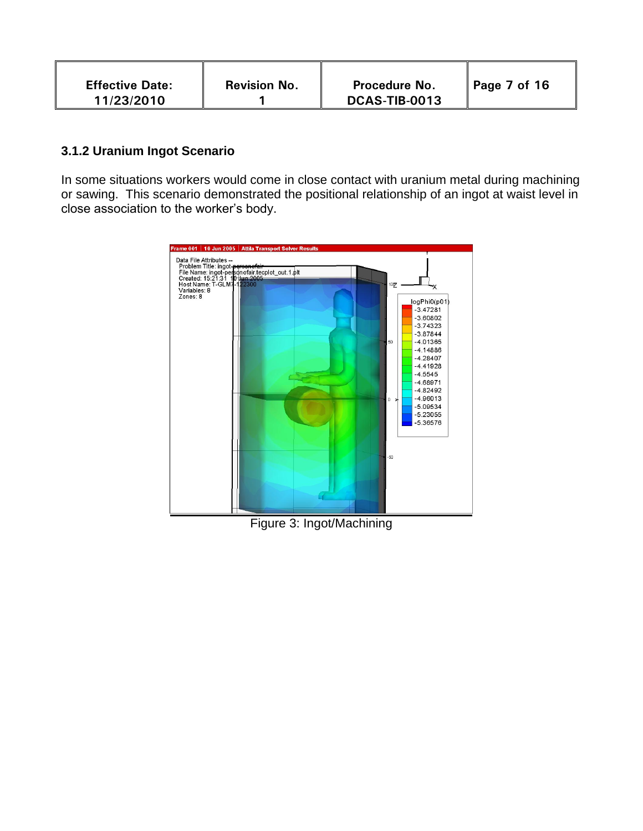| <b>Effective Date:</b> | <b>Revision No.</b> | <b>Procedure No.</b> | Page 7 of 16 |
|------------------------|---------------------|----------------------|--------------|
| 11/23/2010             |                     | DCAS-TIB-0013        |              |

#### **3.1.2 Uranium Ingot Scenario**

In some situations workers would come in close contact with uranium metal during machining or sawing. This scenario demonstrated the positional relationship of an ingot at waist level in close association to the worker's body.



Figure 3: Ingot/Machining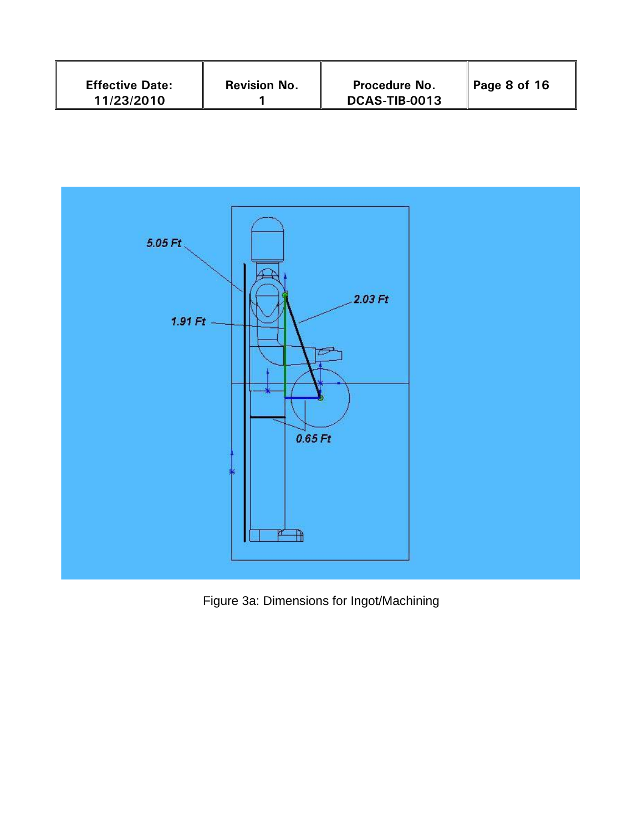| <b>Revision No.</b><br><b>Effective Date:</b><br>11/23/2010 | <b>Procedure No.</b><br>DCAS-TIB-0013 | Page 8 of 16 |
|-------------------------------------------------------------|---------------------------------------|--------------|
|-------------------------------------------------------------|---------------------------------------|--------------|



Figure 3a: Dimensions for Ingot/Machining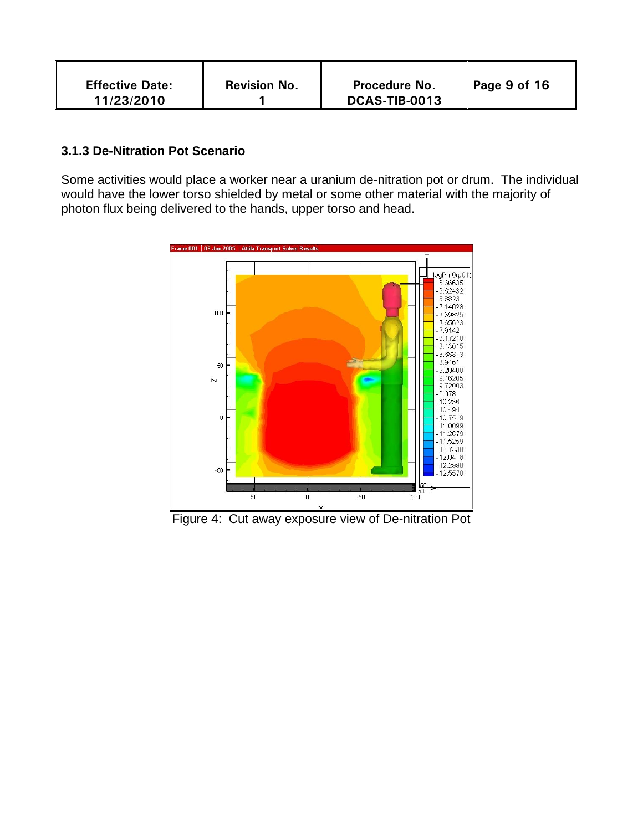| <b>Effective Date:</b> | <b>Revision No.</b> | <b>Procedure No.</b> | Page 9 of 16 |
|------------------------|---------------------|----------------------|--------------|
| 11/23/2010             |                     | DCAS-TIB-0013        |              |

#### **3.1.3 De-Nitration Pot Scenario**

Some activities would place a worker near a uranium de-nitration pot or drum. The individual would have the lower torso shielded by metal or some other material with the majority of photon flux being delivered to the hands, upper torso and head.



Figure 4: Cut away exposure view of De-nitration Pot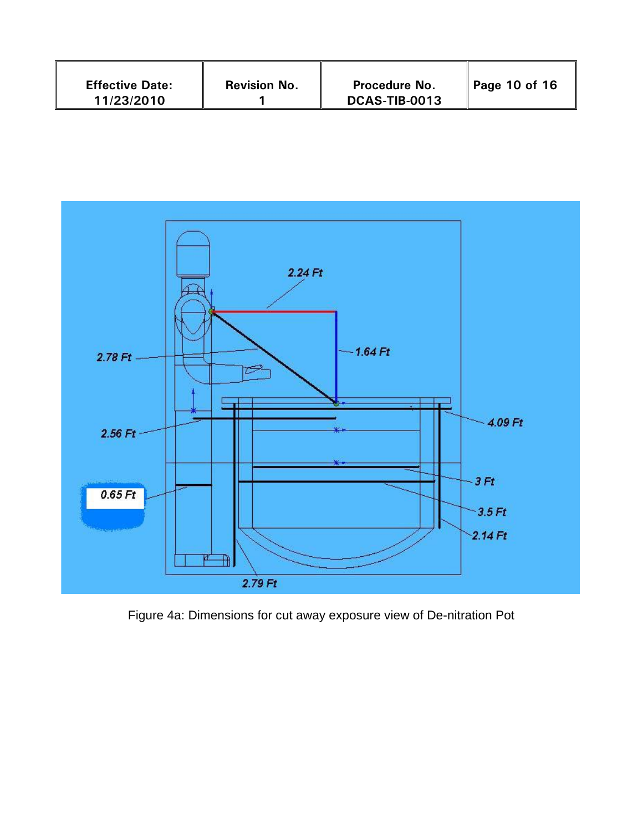| <b>Effective Date:</b><br>11/23/2010 | <b>Revision No.</b> | <b>Procedure No.</b><br>DCAS-TIB-0013 | Page 10 of 16 |
|--------------------------------------|---------------------|---------------------------------------|---------------|
|--------------------------------------|---------------------|---------------------------------------|---------------|



Figure 4a: Dimensions for cut away exposure view of De-nitration Pot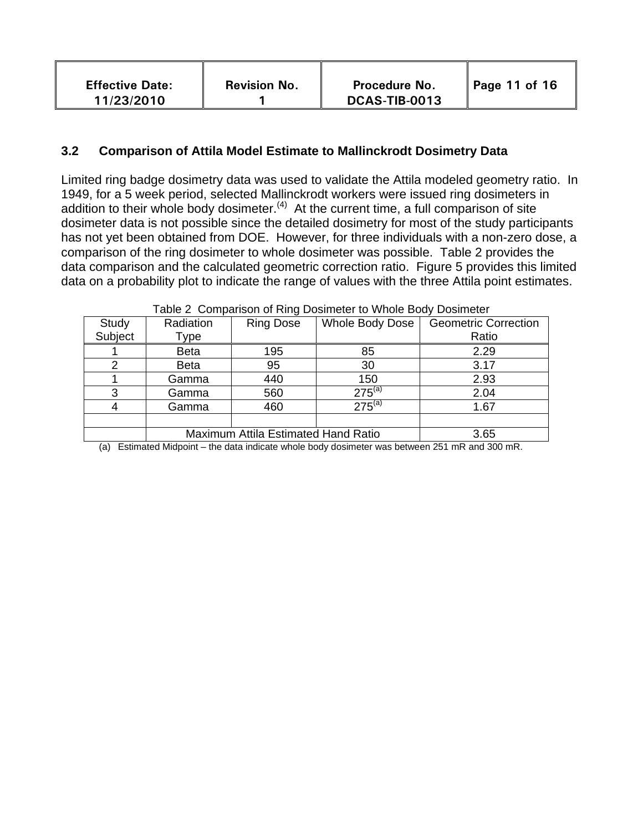| <b>Effective Date:</b><br>11/23/2010 | <b>Revision No.</b> | Procedure No.<br>DCAS-TIB-0013 | Page 11 of 16 |
|--------------------------------------|---------------------|--------------------------------|---------------|
|--------------------------------------|---------------------|--------------------------------|---------------|

#### **3.2 Comparison of Attila Model Estimate to Mallinckrodt Dosimetry Data**

Limited ring badge dosimetry data was used to validate the Attila modeled geometry ratio. In 1949, for a 5 week period, selected Mallinckrodt workers were issued ring dosimeters in addition to their whole body dosimeter. $(4)$  At the current time, a full comparison of site dosimeter data is not possible since the detailed dosimetry for most of the study participants has not yet been obtained from DOE. However, for three individuals with a non-zero dose, a comparison of the ring dosimeter to whole dosimeter was possible. Table 2 provides the data comparison and the calculated geometric correction ratio. Figure 5 provides this limited data on a probability plot to indicate the range of values with the three Attila point estimates.

| $\frac{1}{2}$ comparison of this bosineter to villole body bosineter |                                     |                  |                 |                             |  |  |
|----------------------------------------------------------------------|-------------------------------------|------------------|-----------------|-----------------------------|--|--|
| Study                                                                | Radiation                           | <b>Ring Dose</b> | Whole Body Dose | <b>Geometric Correction</b> |  |  |
| Subject                                                              | Type                                |                  |                 | Ratio                       |  |  |
|                                                                      | <b>Beta</b>                         | 195              | 85              | 2.29                        |  |  |
| 2                                                                    | <b>Beta</b>                         | 95               | 30              | 3.17                        |  |  |
|                                                                      | Gamma                               | 440              | 150             | 2.93                        |  |  |
| 3                                                                    | Gamma                               | 560              | $275^{(a)}$     | 2.04                        |  |  |
| 4                                                                    | Gamma                               | 460              | $275^{(a)}$     | 1.67                        |  |  |
|                                                                      |                                     |                  |                 |                             |  |  |
|                                                                      | Maximum Attila Estimated Hand Ratio |                  |                 | 3.65                        |  |  |

Table 2 Comparison of Ring Dosimeter to Whole Body Dosimeter

(a) Estimated Midpoint – the data indicate whole body dosimeter was between 251 mR and 300 mR.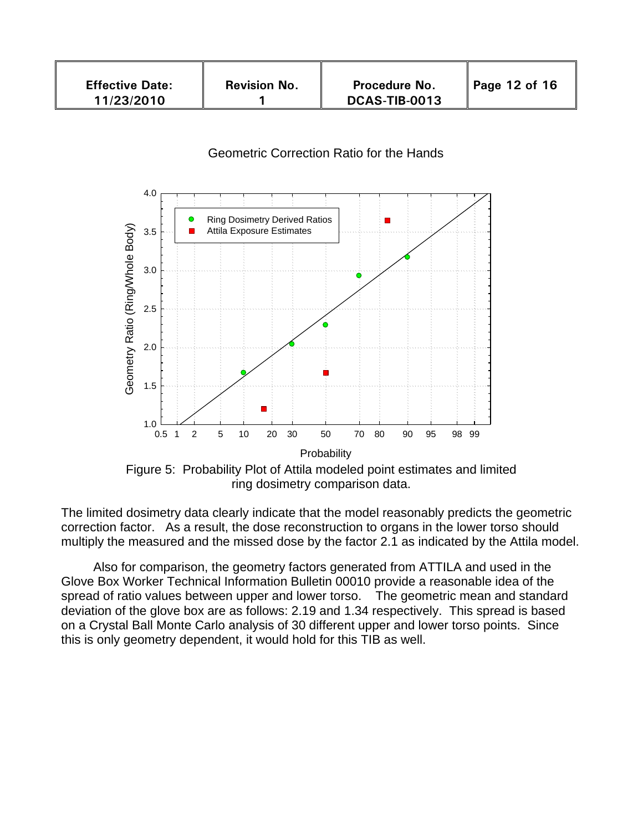| <b>Effective Date:</b><br>11/23/2010 | <b>Revision No.</b> | Procedure No.<br>DCAS-TIB-0013 | Page 12 of 16 |
|--------------------------------------|---------------------|--------------------------------|---------------|
|--------------------------------------|---------------------|--------------------------------|---------------|

#### Geometric Correction Ratio for the Hands



The limited dosimetry data clearly indicate that the model reasonably predicts the geometric correction factor. As a result, the dose reconstruction to organs in the lower torso should multiply the measured and the missed dose by the factor 2.1 as indicated by the Attila model.

 Also for comparison, the geometry factors generated from ATTILA and used in the Glove Box Worker Technical Information Bulletin 00010 provide a reasonable idea of the spread of ratio values between upper and lower torso. The geometric mean and standard deviation of the glove box are as follows: 2.19 and 1.34 respectively. This spread is based on a Crystal Ball Monte Carlo analysis of 30 different upper and lower torso points. Since this is only geometry dependent, it would hold for this TIB as well.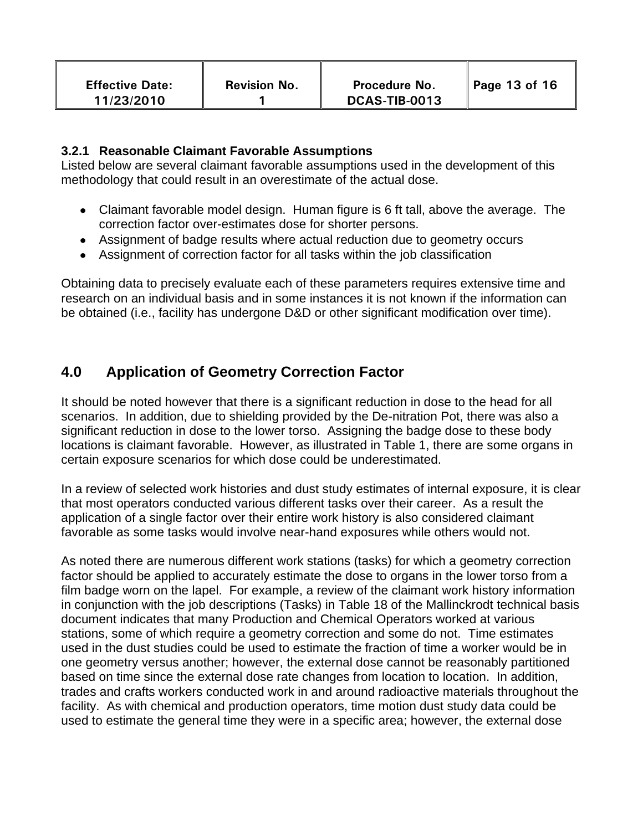#### **3.2.1 Reasonable Claimant Favorable Assumptions**

Listed below are several claimant favorable assumptions used in the development of this methodology that could result in an overestimate of the actual dose.

- Claimant favorable model design. Human figure is 6 ft tall, above the average. The correction factor over-estimates dose for shorter persons.
- Assignment of badge results where actual reduction due to geometry occurs
- Assignment of correction factor for all tasks within the job classification

Obtaining data to precisely evaluate each of these parameters requires extensive time and research on an individual basis and in some instances it is not known if the information can be obtained (i.e., facility has undergone D&D or other significant modification over time).

## **4.0 Application of Geometry Correction Factor**

It should be noted however that there is a significant reduction in dose to the head for all scenarios. In addition, due to shielding provided by the De-nitration Pot, there was also a significant reduction in dose to the lower torso. Assigning the badge dose to these body locations is claimant favorable. However, as illustrated in Table 1, there are some organs in certain exposure scenarios for which dose could be underestimated.

In a review of selected work histories and dust study estimates of internal exposure, it is clear that most operators conducted various different tasks over their career. As a result the application of a single factor over their entire work history is also considered claimant favorable as some tasks would involve near-hand exposures while others would not.

As noted there are numerous different work stations (tasks) for which a geometry correction factor should be applied to accurately estimate the dose to organs in the lower torso from a film badge worn on the lapel. For example, a review of the claimant work history information in conjunction with the job descriptions (Tasks) in Table 18 of the Mallinckrodt technical basis document indicates that many Production and Chemical Operators worked at various stations, some of which require a geometry correction and some do not. Time estimates used in the dust studies could be used to estimate the fraction of time a worker would be in one geometry versus another; however, the external dose cannot be reasonably partitioned based on time since the external dose rate changes from location to location. In addition, trades and crafts workers conducted work in and around radioactive materials throughout the facility. As with chemical and production operators, time motion dust study data could be used to estimate the general time they were in a specific area; however, the external dose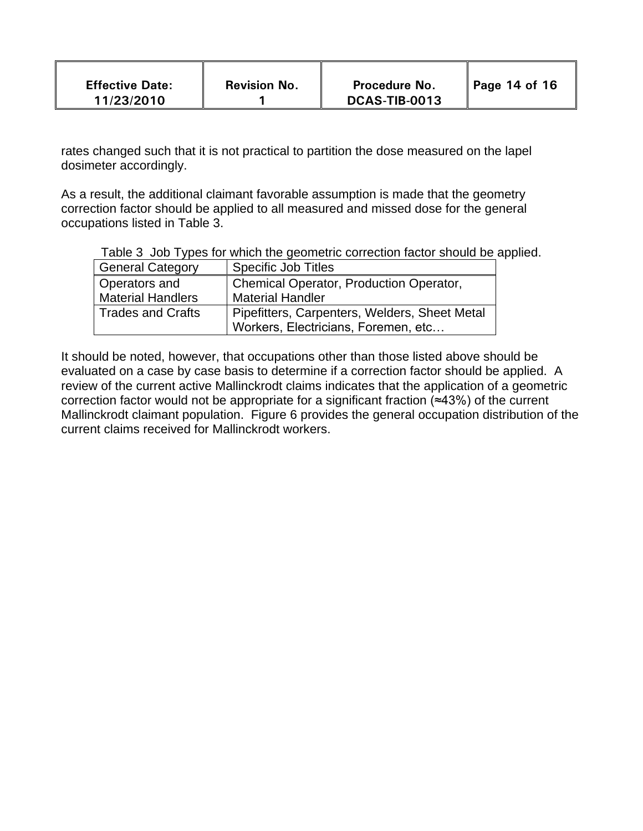| <b>Effective Date:</b><br>11/23/2010 | <b>Revision No.</b> | <b>Procedure No.</b><br>DCAS-TIB-0013 | Page 14 of 16 |  |
|--------------------------------------|---------------------|---------------------------------------|---------------|--|
|--------------------------------------|---------------------|---------------------------------------|---------------|--|

rates changed such that it is not practical to partition the dose measured on the lapel dosimeter accordingly.

As a result, the additional claimant favorable assumption is made that the geometry correction factor should be applied to all measured and missed dose for the general occupations listed in Table 3.

|  |  |  |  | Table 3 Job Types for which the geometric correction factor should be applied. |  |  |
|--|--|--|--|--------------------------------------------------------------------------------|--|--|
|--|--|--|--|--------------------------------------------------------------------------------|--|--|

| <b>General Category</b>  | <b>Specific Job Titles</b>                    |
|--------------------------|-----------------------------------------------|
| Operators and            | Chemical Operator, Production Operator,       |
| <b>Material Handlers</b> | <b>Material Handler</b>                       |
| <b>Trades and Crafts</b> | Pipefitters, Carpenters, Welders, Sheet Metal |
|                          | Workers, Electricians, Foremen, etc           |

It should be noted, however, that occupations other than those listed above should be evaluated on a case by case basis to determine if a correction factor should be applied. A review of the current active Mallinckrodt claims indicates that the application of a geometric correction factor would not be appropriate for a significant fraction (≈43%) of the current Mallinckrodt claimant population. Figure 6 provides the general occupation distribution of the current claims received for Mallinckrodt workers.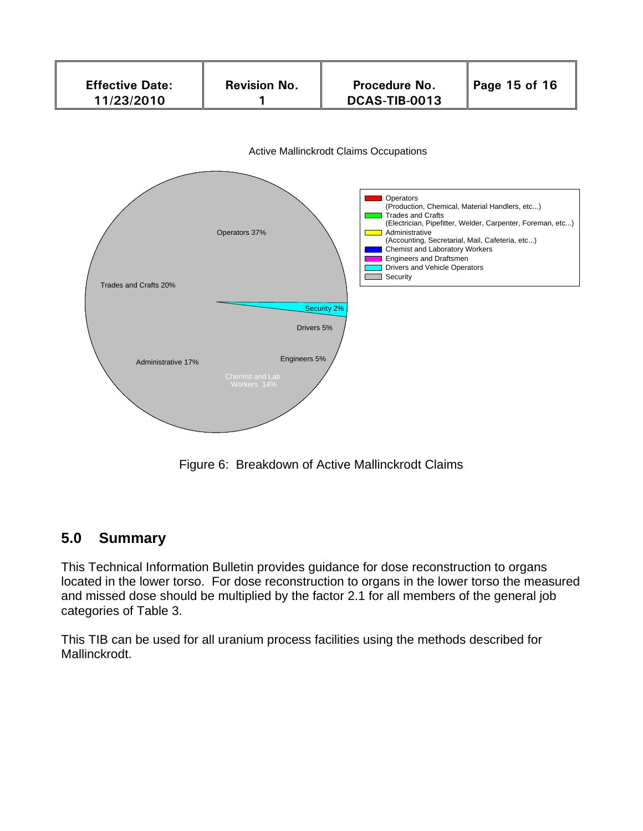

Figure 6: Breakdown of Active Mallinckrodt Claims

# **5.0 Summary**

This Technical Information Bulletin provides guidance for dose reconstruction to organs located in the lower torso. For dose reconstruction to organs in the lower torso the measured and missed dose should be multiplied by the factor 2.1 for all members of the general job categories of Table 3.

This TIB can be used for all uranium process facilities using the methods described for Mallinckrodt.